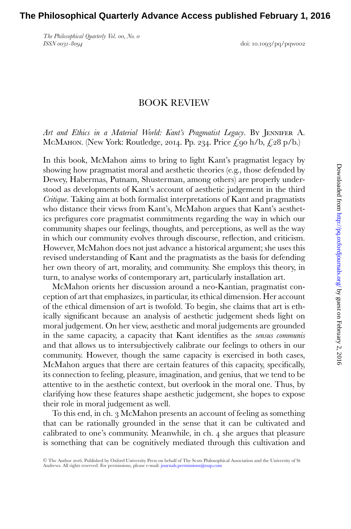*The Philosophical Quarterly Vol. 00, No. 0*

*ISSN 0031-8094* doi: 10.1093/pq/pqw002

## BOOK REVIEW

*Art and Ethics in a Material World: Kant's Pragmatist Legacy*. By Jennifer A. McMahon. (New York: Routledge, 2014. Pp. 234. Price  $\mathcal{L}_{90}$  h/b,  $\mathcal{L}_{28}$  p/b.)

In this book, McMahon aims to bring to light Kant's pragmatist legacy by showing how pragmatist moral and aesthetic theories (e.g., those defended by Dewey, Habermas, Putnam, Shusterman, among others) are properly understood as developments of Kant's account of aesthetic judgement in the third *Critique*. Taking aim at both formalist interpretations of Kant and pragmatists who distance their views from Kant's, McMahon argues that Kant's aesthetics prefigures core pragmatist commitments regarding the way in which our community shapes our feelings, thoughts, and perceptions, as well as the way in which our community evolves through discourse, reflection, and criticism. However, McMahon does not just advance a historical argument; she uses this revised understanding of Kant and the pragmatists as the basis for defending her own theory of art, morality, and community. She employs this theory, in turn, to analyse works of contemporary art, particularly installation art.

McMahon orients her discussion around a neo-Kantian, pragmatist conception of art that emphasizes, in particular, its ethical dimension. Her account of the ethical dimension of art is twofold. To begin, she claims that art is ethically significant because an analysis of aesthetic judgement sheds light on moral judgement. On her view, aesthetic and moral judgements are grounded in the same capacity, a capacity that Kant identifies as the *sensus communis* and that allows us to intersubjectively calibrate our feelings to others in our community. However, though the same capacity is exercised in both cases, McMahon argues that there are certain features of this capacity, specifically, its connection to feeling, pleasure, imagination, and genius, that we tend to be attentive to in the aesthetic context, but overlook in the moral one. Thus, by clarifying how these features shape aesthetic judgement, she hopes to expose their role in moral judgement as well.

To this end, in ch. 3 McMahon presents an account of feeling as something that can be rationally grounded in the sense that it can be cultivated and calibrated to one's community. Meanwhile, in ch. 4 she argues that pleasure is something that can be cognitively mediated through this cultivation and

<sup>-</sup>C The Author 2016. Published by Oxford University Press on behalf of The Scots Philosophical Association and the University of St Andrews. All rights reserved. For permissions, please e-mail: [journals.permissions@oup.com](mailto:journals.permissions@oup.com)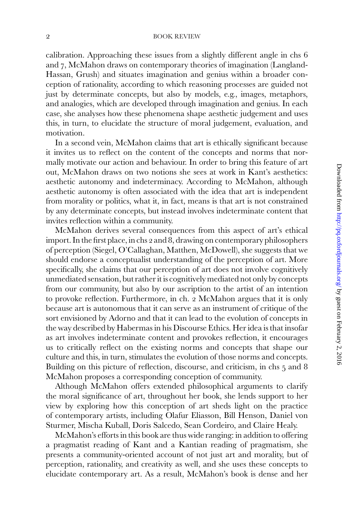## 2 BOOK REVIEW

calibration. Approaching these issues from a slightly different angle in chs 6 and 7, McMahon draws on contemporary theories of imagination (Langland-Hassan, Grush) and situates imagination and genius within a broader conception of rationality, according to which reasoning processes are guided not just by determinate concepts, but also by models, e.g., images, metaphors, and analogies, which are developed through imagination and genius. In each case, she analyses how these phenomena shape aesthetic judgement and uses this, in turn, to elucidate the structure of moral judgement, evaluation, and motivation.

In a second vein, McMahon claims that art is ethically significant because it invites us to reflect on the content of the concepts and norms that normally motivate our action and behaviour. In order to bring this feature of art out, McMahon draws on two notions she sees at work in Kant's aesthetics: aesthetic autonomy and indeterminacy. According to McMahon, although aesthetic autonomy is often associated with the idea that art is independent from morality or politics, what it, in fact, means is that art is not constrained by any determinate concepts, but instead involves indeterminate content that invites reflection within a community.

McMahon derives several consequences from this aspect of art's ethical import. In the first place, in chs 2 and 8, drawing on contemporary philosophers of perception (Siegel, O'Callaghan, Matthen, McDowell), she suggests that we should endorse a conceptualist understanding of the perception of art. More specifically, she claims that our perception of art does not involve cognitively unmediated sensation, but rather it is cognitively mediated not only by concepts from our community, but also by our ascription to the artist of an intention to provoke reflection. Furthermore, in ch. 2 McMahon argues that it is only because art is autonomous that it can serve as an instrument of critique of the sort envisioned by Adorno and that it can lead to the evolution of concepts in the way described by Habermas in his Discourse Ethics. Her idea is that insofar as art involves indeterminate content and provokes reflection, it encourages us to critically reflect on the existing norms and concepts that shape our culture and this, in turn, stimulates the evolution of those norms and concepts. Building on this picture of reflection, discourse, and criticism, in chs 5 and 8 McMahon proposes a corresponding conception of community.

Although McMahon offers extended philosophical arguments to clarify the moral significance of art, throughout her book, she lends support to her view by exploring how this conception of art sheds light on the practice of contemporary artists, including Olafur Eliasson, Bill Henson, Daniel von Sturmer, Mischa Kuball, Doris Salcedo, Sean Cordeiro, and Claire Healy.

McMahon's efforts in this book are thus wide ranging: in addition to offering a pragmatist reading of Kant and a Kantian reading of pragmatism, she presents a community-oriented account of not just art and morality, but of perception, rationality, and creativity as well, and she uses these concepts to elucidate contemporary art. As a result, McMahon's book is dense and her